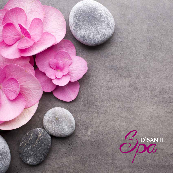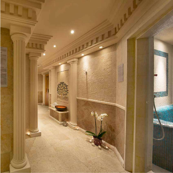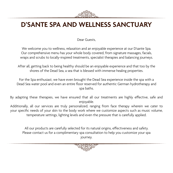

# **D'SANTE SPA AND WELLNESS SANCTUARY**

Dear Guests,

We welcome you to wellness, relaxation and an enjoyable experience at our D'sante Spa. Our comprehensive menu has your whole body covered, from signature massages, facials, wraps and scrubs to locally-inspired treatments, specialist therapies and balancing journeys.

After all, getting back to being healthy should be an enjoyable experience and that too by the shores of the Dead Sea, a sea that is blessed with immense healing properties.

For the Spa enthusiast, we have even brought the Dead Sea experience inside the spa with a Dead Sea water pool and even an entire floor reserved for authentic German hydrotherapy and spa baths.

By adapting these therapies, we have ensured that all our treatments are highly effective, safe and enjoyable.

Additionally, all our services are truly personalized, ranging from face therapy wherein we cater to your specific needs of your skin to the body work where we customize aspects such as music volume, temperature settings, lighting levels and even the pressure that is carefully applied.

All our products are carefully selected for its natural origins, effectiveness and safety. Please contact us for a complimentary spa consultation to help you customize your spa journey.

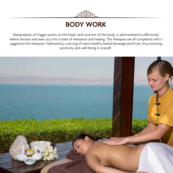

# **BODY WORK**

Manipulation of trigger points on the head, neck and rest of the body, is administered to effectively relieve tension and ease you into a state of relaxation and healing. The therapies are all completed with a suggestion for relaxation, followed by a serving of warm healthy herbal beverage and fruits, thus restoring positivity and well-being in oneself.

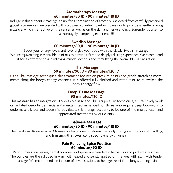### **Aromatherapy Massage 60 minutes/80 JD - 90 minutes/110 JD**

Indulge in this authentic massage, an uplifting combination of aroma oils selected from carefully preserved global bio-reserves, are blended with cold pressed anti-oxidant rich base oils to provide a gentle relaxing massage, which is effective on the senses as well as on the skin and nerve endings. Surrender yourself to a thoroughly pampering experience!!!

### **Swedish Massage 60 minutes/80 JD - 90 minutes/110 JD**

Boost your energy levels and re-energize your body with the classic Swedish massage. We use rejuvenating seasonal blend of oils to provide a firm and deeply relaxing experience. We recommend it for its effectiveness in relieving muscle soreness and stimulating the overall blood circulation.

### **Thai Massage 60 minutes/90 JD - 90 minutes/120 JD**

Using Thai massage techniques, this treatment focuses on pressure points and gentle stretching movements along the body's energy channels. It is offered fully-clothed and without oil to re-awaken the body's energy flow.

### **Deep Tissue Massage 90 minutes/120 JD**

This massage has an integration of Sports Massage and Thai Acupressure techniques, to effectively work on irritated deep tissue, fascia and muscles. Recommended for those who require deep bodywork to undo muscle knots and loosen fibrous tissue, this therapy accounts to be one of the most chosen and appreciated treatments by our clients.

### **Balinese Massage 60 minutes/80 JD - 90 minutes/110 JD**

The traditional Balinese Royal Massage is a technique of relaxing the body through acupressure, skin rolling, and firm smooth strokes along specific energy channels.

### **Pain Relieving Spice Poultice 60 minutes/90 JD**

Various medicinal leaves, herbal powders and spices are blended in herbal oils and packed in bundles. The bundles are then dipped in warm oil, heated and gently applied on the area with pain with tender massage. We recommend a minimum of seven sessions to help get relief from long standing pain.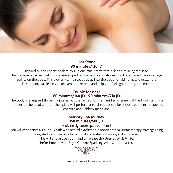

### **Hot Stone 90 minutes/120 JD**

Inspired by the energy healers, this unique rtual starts with a deeply relaxing massage. The massage is carried out with oil enveloped on warm volcanic stones which are placed on key energy points on the body. This evokes warmth seeps deep into the body for aiding muscle relaxation. This therapy will leave you rejuvenated, relaxed and help you feel light in body and mind.

### **Couple Massage 60 minutes/140 JD - 90 minutes/210 JD**

The body is energized through a journey of the senses. All the meridian channels of the body run from the feet to the head and our therapists will perform a total top-to-toe luxurious treatment to soothe, energize and unblock meridians.

### **Sensory Spa Journey 150 minutes/600 JD**

A divine signature spa treatment!!

You will experience a luxurious bath with natural exfoliation, a nontraditional aromatherapy massage using long strokes, a cleansing facial ritual and a stress relieving scalp massage.

This will encourage your mind to release the stresses of daily life.

Refreshments with Royal Crowne Sparkling Wine & fruit platter.

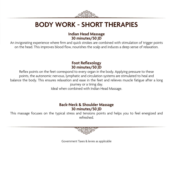

# **BODY WORK - SHORT THERAPIES**

### **Indian Head Massage 30 minutes/50 JD**

An invigorating experience where firm and quick strokes are combined with stimulation of trigger points on the head. This improves blood flow, nourishes the scalp and induces a deep sense of relaxation.

### **Foot Reflexology 30 minutes/50 JD**

Reflex points on the feet correspond to every organ in the body. Applying pressure to these points, the autonomic nervous, lymphatic and circulation systems are stimulated to heal and balance the body. This ensures relaxation and ease in the feet and relieves muscle fatigue after a long journey or a tiring day.

Ideal when combined with Indian Head Massage.

### **Back-Neck & Shoulder Massage 30 minutes/50 JD**

This massage focuses on the typical stress and tensions points and helps you to feel energized and refreshed.

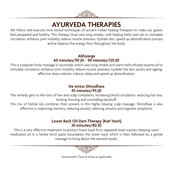

# **AYURVEDA THERAPIES**

We follow and execute time tested techniques of ancient Indian healing therapies to make our guests feel pampered and healthy. This therapy ritual uses long strokes, with healing herbs and oils to stimulate circulation, enhance joint mobility, relieve muscle soreness, hydrate skin, speed up detoxification process and re-balance the energy flow throughout the body.

### **Abhyanga 60 minutes/90 JD - 90 minutes/120 JD**

This is a popular body massage in Ayurveda, which uses long strokes and warm herb infused sesame oil to stimulate circulation, enhance joint mobility, relieve muscle soreness, hydrate the skin, assists anti-ageing, effective stress reliever, induces sleep and speed up detoxification.

### **De-stress Shirodhara 45 minutes/95 JD**

This remedy gets to the root of hair and scalp complaints, increasing blood circulation, reducing hair loss, limiting thinning and controlling dandruff.

The mix of herbal oils combines their powers in this highly relaxing scalp massage. Shirodhara is also effective in improving memory, reducing anxiety, relieving sinusitis and migraine symptoms.

### **Lower Back Oil Dam Therapy (Kati Vasti) 30 minutes/80 JD**

This is a very effective treatment to protect lower back from repeated strain injuries. Keeping warm medicated oil in a herbal lentil paste boundaries the lower back which is then followed by a gentle massage to bring about the desired results.

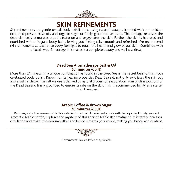

# **SKIN REFINEMENTS**

Skin refinements are gentle overall body exfoliations, using natural extracts, blended with anti-oxidant rich, cold-pressed base oils and organic sugar or finely grounded sea salts. This therapy removes the dead skin cells, stimulates blood circulation and oxygenates the skin. Further, the skin is hydrated and nourished with a fragrant body balm, leaving you feeling silky-smooth and refreshed. We recommend skin refinements at least once every fortnight to retain the health and glow of our skin. Combined with a facial, wrap & massage, this makes it a complete beauty and wellness ritual.

#### **Dead Sea Aromatherapy Salt & Oil 30 minutes/60 JD**

More than 37 minerals in a unique combination as found in the Dead Sea is the secret behind this much celebrated body polish. Known for its healing properties Dead Sea salt not only exfoliates the skin but also assists in detox. The salt we use is derived by natural process of evaporation from pristine portions of the Dead Sea and finely grounded to ensure its safe on the skin. This is recommended highly as a starter for all therapies.

#### **Arabic Coffee & Brown Sugar 30 minutes/60 JD**

Re-invigorate the senses with this exfoliation ritual. An energetic rub with handpicked finely ground aromatic Arabic coffee, captures the mystery of this ancient Arabic skin treatment. It instantly increases circulation and makes the skin smoother and hence elevates your mood, making you happy and content.

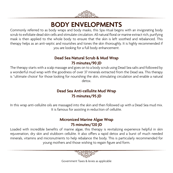

# **BODY ENVELOPMENTS**

Commonly referred to as body wraps and body masks, this Spa ritual begins with an invigorating body scrub to exfoliate dead skin cells and stimulate circulation. All natural floral or marine extract rich, purifying mask is then applied to the whole body to ensure that the skin is left soothed and rebalanced. This therapy helps as an anti-septic and nourishes and tones the skin thoroughly. It is highly recommended if you are looking for a full body enhancement.

### **Dead Sea Natural Scrub & Mud Wrap 75 minutes/90 JD**

The therapy starts with a scalp massage and goes on to a body scrub using Dead Sea salts and followed by a wonderful mud wrap with the goodness of over 37 minerals extracted from the Dead sea. This therapy is "ultimate choice' for those looking for nourishing the skin, stimulating circulation and enable a natural detox.

### **Dead Sea Anti-cellulite Mud Wrap 75 minutes/95 JD**

In this wrap anti-cellulite oils are massaged into the skin and then followed up with a Dead Sea mud mix. It is famous for assisting in reduction of cellulite.

### **Micronized Marine Algae Wrap 75 minutes/120 JD**

Loaded with incredible benefits of marine algae, this therapy is revitalizing experience helpful in skin rejuvenation, dry skin and stubborn cellulite. It also offers a rapid detox and a burst of much needed minerals, vitamins and micronutrients to help rebalance the body. This is particularly recommended for young mothers and those wishing to regain figure and form.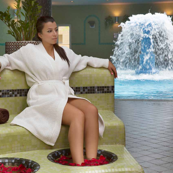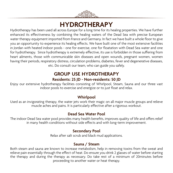

# **HYDROTHERAPY**

Hydrotherapy has been used all across Europe for a long time for its healing properties. We have further enhanced its effectiveness by combining the healing waters of the Dead Sea with precise European water therapy equipment imported from France and Germany. In fact we have built a whole floor to give you an opportunity to experience its healing effects. We have built one of the most extensive facilities in Jordan with heated indoor pools - one for exercise, one for floatation with Dead Sea water and one for hydrotherapy. Since hydrotherapy is extremely effective, its use is forbidden in those suffering from heart ailments, those with communicable skin diseases and open wounds, pregnant women, women having their periods, respiratory distress, circulation problems, diabetes, fever and degenerative diseases, etc. Do consult our team, who can guide you safely.

# **group use hydrotherapy Residents: 25 JD - Non-residents: 50 JD**

Enjoy our extensive hydrotherapy facilities consisting of Whirlpool, Steam, Sauna and our three vast indoor pools to exercise and energize or to just float and relax.

# **Whirlpool**

Used as an invigorating therapy, the water jets work their magic on all major muscle groups and relieve muscle aches and pains. It is particularly effective after a rigorous workout.

### **Dead Sea Water Pool**

The indoor Dead Sea water pool provides many health benefits, improves quality of life and offers relief in many health conditions without side effects and with long-term improvement.

### **Secondary Pool**

Relax after salt scrub and black mud applications.

### **Sauna / Steam**

Both steam and sauna are known to increase metabolism, help in removing toxins from the sweat and relieve pain essentially through the effect of heat. Do ensure you drink 2 glasses of water before starting the therapy and during the therapy as necessary. Do take rest of a minimum of 20minutes before proceeding to another water or heat therapy.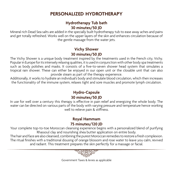# **personalized hydrotherapy**

### **Hydrotherapy Tub bath 30 minutes/50 JD**

Mineral rich Dead Sea salts are added in the specially built hydrotherapy tub to ease away aches and pains and get totally refreshed. Works well on the upper layers of the skin and enhances circulation because of the gentle massage from the water jets.

### **Vichy Shower 30 minutes/50 JD**

The Vichy Shower is a unique body treatment inspired by the treatments used in the French city, Vichy. Popular in Europe for its intensely relaxing qualities, it is used in conjunction with other body spa treatments such as body polishes and masks. It consists of a five-to-seven shower head system that simulates a tropical rain shower. These can either be enjoyed in our open unit or the closable unit that can also provide steam as part of the therapy experience.

Additionally, it works to hydrate an individual's body and stimulate blood circulation, which then increases the functionality of the immune system, relaxes tight and sore muscles and promote lymph circulation.

# **Hydro-Capsule 30 minutes/50 JD**

In use for well over a century this therapy is effective in pain relief and energizing the whole body. The water can be directed on various parts of the body with varying pressure and temperature hence working well to relieve pain & stiffness.

### **Royal Hammam 75 minutes/120 JD**

Your complete top-to-toe Moroccan cleansing experience begins with a personalized blend of purifying Rhassoul clay and nourishing shea butter application on entire body.

The hair and face are also cleansed, combining the purest Moroccan remedies to restore a fresh complexion. The ritual finishes with a traditional dousing of orange blossom and rose water to leave you calm, revived and radiant. This treatment prepares the skin perfectly for a massage or facial.

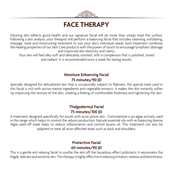

# **FACE THERAPY**

Glowing skin reflects good health and our signature facial will do more than simply treat the surface. Following a skin analysis, your therapist will perform a balancing facial that includes cleansing, exfoliating, massage, mask and moisturizing treatment to suit your skin's individual needs. Each treatment combines the healing properties of our Skin Care products with the power of touch to encourage lymphatic drainage and improved skin elasticity and clarity.

Your skin will feel silky-soft and delicately scented, with a complexion that is polished, toned and radiant. It is recommended once a week for lasting results.

### **Moisture Enhancing Facial 75 minutes/90 JD**

Specially designed for dehydrated skin that is occasionally subject to flakiness, the special mask used in this facial is rich with active marine ingredients and vegetable extracts. It makes the skin instantly softer by improving the texture of the skin, creating a feeling of comfortable freshness and tightening the skin.

# **Thalgodermyl Facial 75 minutes/100 JD**

A treatment designed specifically for youth with acne-prone skin. Controlamine is an algae actively used in this range which helps to control the sebum production. Natural essential oils with re-balancing Marine Algae peel-off mask helps to reduce inflammation and control excess oil. This treatment can also be adapted to treat all acne-affected areas such as back and shoulders.

# **Protective Facial**

### **60 minutes/90 JD**

This is a gentle and relaxing facial to soothe the skin off the hazardous effect pollutants; it rejuvenates the fragile, delicate and sensitive skin. This therapy is highly effective in reducing irritation, redness and blotchiness.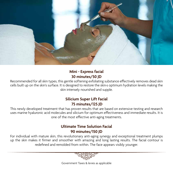

### **Mini - Express facial 30 minutes/50 JD**

Recommended for all skin types, this gentle softening exfoliating substance effectively removes dead skin cells built up on the skin's surface. It is designed to restore the skin›s optimum hydration levels making the skin intensely nourished and supple.

# **Silicium Super Lift Facial 75 minutes/125 JD**

This newly developed treatment that has proven results that are based on extensive testing and research uses marine hyaluronic acid molecules and silicium for optimum effectiveness and immediate results. It is one of the most effective anti-aging treatments.

# **Ultimate Time Solution Facial 90 minutes/150 JD**

For individual with mature skin, this revolutionary anti-aging synergy and exceptional treatment plumps up the skin makes it firmer and smoother with amazing and long lasting results. The facial contour is redefined and remolded from within. The face appears visibly younger.

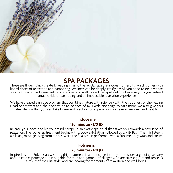

# **SPA PACKAGES**

These are thoughtfully created, keeping in mind the regular Spa user's quest for results, which comes with liberal doses of relaxation and pampering. Wellness can be deeply satisfying! All you need to do is repose your faith on our in-house wellness physician and well trained therapists who will ensure you a guaranteed<br>fantastic ride of well-being and an impeccable relaxation experience.

We have created a unique program that combines nature with science - with the goodness of the healing Dead Sea waters and the ancient Indian science of ayurveda and yoga. What's more, we also give you lifestyle tips that you can take home and practice for experiencing increasing wellness and health.

### **Indocéane 120 minutes/170 JD**

Release your body and let your mind escape in an exotic spa ritual that takes you towards a new type of relaxation. The four-step treatment begins with a body exfoliation, followed by a Milk Bath. The third step is a relaxing massage using aromatic oils, while the final step is performed with a Sublime body wrap and cream.

### **Polynesia 120 minutes/170 JD**

Inspired by the Polynesian wisdom, this treatment is a multistage journey. It provides a genuine sensory and holistic experience and is suitable for men and women of all ages who are stressed out and tense as<br>a result of their lifestyle, and are looking for moments of relaxation and well-being.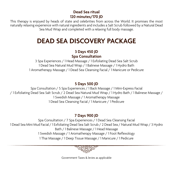# **Dead Sea ritual 120 minutes/170 JD**

This therapy is enjoyed by heads of state and celebrities from across the World. It promises the most naturally relaxing experience with natural ingredients and includes a Salt Scrub followed by a Natural Dead Sea Mud Wrap and completed with a relaxing full body massage.

# **DEAD SEA DISCOVERY PACKAGE**

### **3 Days 450 JD Spa Consultation**

3 Spa Experiences / 1 Head Massage / 1 Exfoliating Dead Sea Salt Scrub 1 Dead Sea Natural Mud Wrap / 1 Balinese Massage / 1 Hydro Bath 1 Aromatherapy Massage / 1 Dead Sea Cleansing Facial / 1 Manicure or Pedicure

# **5 Days 500 JD**

Spa Consultation / 5 Spa Experiences / 1 Back Massage / 1 Mini-Express Facial / 1 Exfoliating Dead Sea Salt Scrub / 2 Dead Sea Natural Mud Wrap / 1 Hydro Bath / 1 Balinese Massage / 1 Swedish Massage / 1 Aromatherapy Massage 1 Dead Sea Cleansing Facial / 1 Manicure / 1 Pedicure

# **7 Days 900 JD**

Spa Consultation / 7 Spa Experiences / 1 Dead Sea Cleansing Facial 1 Dead Sea Mini Mud Facial / 1 Exfoliating Dead Sea Salt Scrub / 2 Dead Sea / Natural Mud Wrap / 3 Hydro Bath / 1 Balinese Massage / 1 Head Massage 1 Swedish Massage / 1 Aromatherapy Massage / 1 Foot Reflexology 1 Thai Massage / 1 Deep Tissue Massage / 1 Manicure / 1 Pedicure

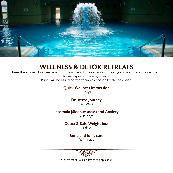

# **WELLNESS & DETOX RETREATS**

These therapy modules are based on the ancient Indian science of healing and are offered under our inhouse expert's special guidance. Prices will be based on the therapies chosen by the physician.

### **Quick Wellness Immersion**

3 days

# **De-stress Journey**

3/5 days

### **Insomnia (Sleeplessness) and Anxiety**

7/14 days

#### **Detox & Safe Weight loss** 14 days

# **Bone and Joint care**

10/14 days

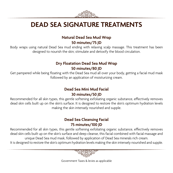

# **DEAD SEA SIGNATURE TREATMENTS**

### **Natural Dead Sea Mud Wrap 50 minutes/75 JD**

Body wraps using natural Dead Sea mud ending with relaxing scalp massage. This treatment has been designed to nourish the skin; stimulate and detoxify the blood circulation.

# **Dry Floatation Dead Sea Mud Wrap 50 minutes/80 JD**

Get pampered while being floating with the Dead Sea mud all over your body, getting a facial mud mask followed by an application of moisturizing cream.

# **Dead Sea Mini Mud Facial 30 minutes/50 JD**

Recommended for all skin types, this gentle softening exfoliating organic substance, effectively removes dead skin cells built up on the skin's surface. It is designed to restore the skin's optimum hydration levels making the skin intensely nourished and supple.

# **Dead Sea Cleansing Facial 75 minutes/100 JD**

Recommended for all skin types, this gentle softening exfoliating organic substance, effectively removes dead skin cells built up on the skin's surface and deep cleanse, this facial combined with facial massage and unique Dead Sea mud mask, followed by application of Dead Sea minerals rich cream.

It is designed to restore the skin's optimum hydration levels making the skin intensely nourished and supple.

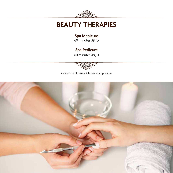

# **BEAUTY THERAPIES**

## **Spa Manicure**

60 minutes 39 JD

# **Spa Pedicure**

60 minutes 48 JD



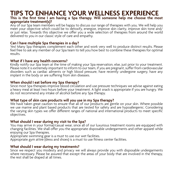# **TIPS TO ENHANCE YOUR WELLNESS EXPERIENCE**

#### **This is the first time I am having a Spa therapy. Will someone help me choose the most appropriate treatment(s)?**

Any of our Spa team members will be happy to discuss our range of therapies with you. We will help you meet your objective which could be to detoxify, energize, improve skin clarity, improve skin tone and/ or just relax. Towards this objective we offer you a wide selection of therapies from around the world delivered to you in our classic style of care and empathy.

#### **Can I have multiple Spa therapies in a day?**

Yes! Many Spa therapies complement each other and work very well to produce distinct results. Please feel free to ask any member of our Spa team to tell you how best to combine these therapies for optimal results.

#### **What if I have any health concerns?**

Kindly notify our Spa team at the time of making your Spa reservation, else, just prior to your treatment. Please note it is extremely important to inform to our team, if you are pregnant, suffer from cardiovascular disorders such as cardiac ailments or high blood pressure, have recently undergone surgery, have any implant in the body or are suffering from skin diseases.

### **When should I eat before my Spa therapy?**

Since most Spa therapies improve blood circulation and use pressure techniques we advise against eating a heavy meal at least two hours before your treatment. A light snack is appropriate if you are hungry. We do not recommend any intake of alcohol before any Spa therapy.

#### **What type of skin care products will you use in my Spa therapy?**

We have taken great caution to ensure that all of our products are gentle on your skin. Where possible we use marine and plant based products that are tested for safety and are hypoallergenic. Considering the varying skin types we offer different ranges of national and international products to meet specific objectives.

#### **What should I wear during my visit to the Spa?**

You may arrive in your formal/casual wear, since all of our luxurious treatment rooms are equipped with changing facilities. We shall offer you the appropriate disposable undergarments and other apparel while enjoying our Spa therapies.

Appropriate swimming gear is a must to use our wet facilities.

Appropriate gym attire (dress and shoes) is a must to use fitness center facilities.

#### **What should I wear during my treatments?**

Since we respect you modesty and privacy we will always provide you with disposable undergarments where necessary. Please be assured that except the areas of your body that are involved in the therapy, the rest shall be draped at all times.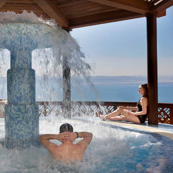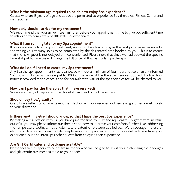#### **What is the minimum age required to be able to enjoy Spa experience?**

Guests who are 18 years of age and above are permitted to experience Spa therapies, Fitness Center and wet facilities.

#### **How early should I arrive for my treatment?**

We recommend that you arrive fifteen minutes before your appointment time to give you sufficient time to relax and to complete a health status questionnaire.

#### **What if I am running late for my Spa appointment?**

If you are running late for your treatment, we will still endeavor to give the best possible experience by shortening your therapy so as to be completed by the designated time booked by you. This is to ensure that the next guest is not delayed or inconvenienced. Please note that since we had booked the specific time slot just for you we will charge the full price of that particular Spa therapy.

### **What do I do if I need to cancel my Spa treatment?**

Any Spa therapy appointment that is cancelled without a minimum of four hours notice or an un-informed "no show" will incur a charge equal to 100% of the value of the therapy/therapies booked. If a four hour notice is provided then a cancellation fee equivalent to 50% of the spa therapies fee will be charged to you.

### **How can I pay for the therapies that I have reserved?**

We accept cash, all major credit cards-debit cards and our gift vouchers.

### **Should I pay tips/gratuity?**

Gratuity is a reflection of your level of satisfaction with our services and hence all gratuities are left solely to your discretion.

### **Is there anything else I should know, so that I have the best Spa Experience?**

By making a reservation with us, you have paid for time to relax and rejuvenate. To get maximum value out of it, you may please inform our therapist on how to improve your comforts further. Like, addressing the temperature settings, music volume, and extent of pressure applied etc. We discourage the use of electronic devices; including mobile telephones in our Spa area, as this not only distracts you from your experience, but also interrupts other guests from enjoying their experience.

#### **Are Gift Certificates and packages available?**

Please feel free to speak to our team members who will be glad to assist you in choosing the packages and gift certificates most suitable to your needs.